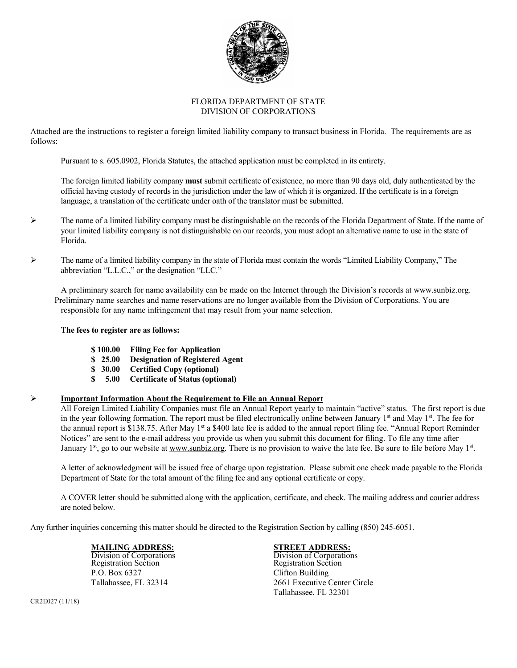

# FLORIDA DEPARTMENT OF STATE DIVISION OF CORPORATIONS

Attached are the instructions to register a foreign limited liability company to transact business in Florida. The requirements are as follows:

Pursuant to s. 605.0902, Florida Statutes, the attached application must be completed in its entirety.

The foreign limited liability company **must** submit certificate of existence, no more than 90 days old, duly authenticated by the official having custody of records in the jurisdiction under the law of which it is organized. If the certificate is in a foreign language, a translation of the certificate under oath of the translator must be submitted.

- $\triangleright$  The name of a limited liability company must be distinguishable on the records of the Florida Department of State. If the name of your limited liability company is not distinguishable on our records, you must adopt an alternative name to use in the state of Florida.
- The name of a limited liability company in the state of Florida must contain the words "Limited Liability Company," The abbreviation "L.L.C.," or the designation "LLC."

 A preliminary search for name availability can be made on the Internet through the Division's records at www.sunbiz.org. Preliminary name searches and name reservations are no longer available from the Division of Corporations. You are responsible for any name infringement that may result from your name selection.

### **The fees to register are as follows:**

- **\$ 100.00 Filing Fee for Application**
- **\$ 25.00 Designation of Registered Agent**
- **\$ 30.00 Certified Copy (optional)**
- **\$ 5.00 Certificate of Status (optional)**

## **Important Information About the Requirement to File an Annual Report**

All Foreign Limited Liability Companies must file an Annual Report yearly to maintain "active" status. The first report is due in the year following formation. The report must be filed electronically online between January  $1<sup>st</sup>$  and May  $1<sup>st</sup>$ . The fee for the annual report is \$138.75. After May 1<sup>st</sup> a \$400 late fee is added to the annual report filing fee. "Annual Report Reminder Notices" are sent to the e-mail address you provide us when you submit this document for filing. To file any time after January  $1<sup>st</sup>$ , go to our website at [www.sunbiz.org.](http://www.sunbiz.org/) There is no provision to waive the late fee. Be sure to file before May  $1<sup>st</sup>$ .

A letter of acknowledgment will be issued free of charge upon registration. Please submit one check made payable to the Florida Department of State for the total amount of the filing fee and any optional certificate or copy.

A COVER letter should be submitted along with the application, certificate, and check. The mailing address and courier address are noted below.

Any further inquiries concerning this matter should be directed to the Registration Section by calling (850) 245-6051.

Division of Corporations Division of Corporations Registration Section Registration Section P.O. Box 6327 Clifton Building

# **MAILING ADDRESS:**<br>
Division of Corporations<br>
Division of Corporations

Tallahassee, FL 32314 2661 Executive Center Circle Tallahassee, FL 32301

CR2E027 (11/18)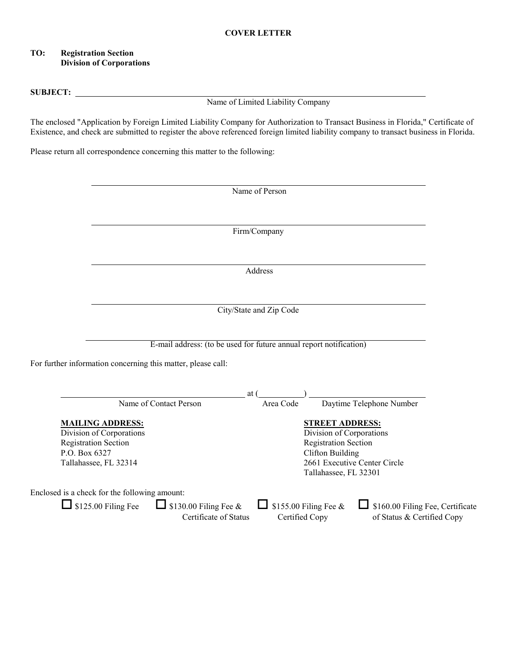# **TO: Registration Section Division of Corporations**

### **SUBJECT:**

Name of Limited Liability Company

The enclosed "Application by Foreign Limited Liability Company for Authorization to Transact Business in Florida," Certificate of Existence, and check are submitted to register the above referenced foreign limited liability company to transact business in Florida.

Please return all correspondence concerning this matter to the following:

| Firm/Company<br>Address<br>City/State and Zip Code<br>E-mail address: (to be used for future annual report notification)<br>For further information concerning this matter, please call:<br>Daytime Telephone Number<br>at (<br>Name of Contact Person<br>Area Code<br><b>STREET ADDRESS:</b><br>Division of Corporations<br><b>Registration Section</b><br><b>Clifton Building</b><br>2661 Executive Center Circle<br>Tallahassee, FL 32301<br>Enclosed is a check for the following amount:<br>$\Box$ \$125.00 Filing Fee<br>\$160.00 Filing Fee, Certificate<br>$\Box$ \$130.00 Filing Fee &<br>\$155.00 Filing Fee &<br>Certificate of Status<br>Certified Copy<br>of Status & Certified Copy |                                                                                    | Name of Person |  |
|---------------------------------------------------------------------------------------------------------------------------------------------------------------------------------------------------------------------------------------------------------------------------------------------------------------------------------------------------------------------------------------------------------------------------------------------------------------------------------------------------------------------------------------------------------------------------------------------------------------------------------------------------------------------------------------------------|------------------------------------------------------------------------------------|----------------|--|
|                                                                                                                                                                                                                                                                                                                                                                                                                                                                                                                                                                                                                                                                                                   |                                                                                    |                |  |
|                                                                                                                                                                                                                                                                                                                                                                                                                                                                                                                                                                                                                                                                                                   |                                                                                    |                |  |
|                                                                                                                                                                                                                                                                                                                                                                                                                                                                                                                                                                                                                                                                                                   |                                                                                    |                |  |
|                                                                                                                                                                                                                                                                                                                                                                                                                                                                                                                                                                                                                                                                                                   |                                                                                    |                |  |
|                                                                                                                                                                                                                                                                                                                                                                                                                                                                                                                                                                                                                                                                                                   |                                                                                    |                |  |
|                                                                                                                                                                                                                                                                                                                                                                                                                                                                                                                                                                                                                                                                                                   |                                                                                    |                |  |
|                                                                                                                                                                                                                                                                                                                                                                                                                                                                                                                                                                                                                                                                                                   |                                                                                    |                |  |
|                                                                                                                                                                                                                                                                                                                                                                                                                                                                                                                                                                                                                                                                                                   |                                                                                    |                |  |
|                                                                                                                                                                                                                                                                                                                                                                                                                                                                                                                                                                                                                                                                                                   |                                                                                    |                |  |
|                                                                                                                                                                                                                                                                                                                                                                                                                                                                                                                                                                                                                                                                                                   |                                                                                    |                |  |
|                                                                                                                                                                                                                                                                                                                                                                                                                                                                                                                                                                                                                                                                                                   |                                                                                    |                |  |
|                                                                                                                                                                                                                                                                                                                                                                                                                                                                                                                                                                                                                                                                                                   |                                                                                    |                |  |
|                                                                                                                                                                                                                                                                                                                                                                                                                                                                                                                                                                                                                                                                                                   |                                                                                    |                |  |
|                                                                                                                                                                                                                                                                                                                                                                                                                                                                                                                                                                                                                                                                                                   |                                                                                    |                |  |
|                                                                                                                                                                                                                                                                                                                                                                                                                                                                                                                                                                                                                                                                                                   | <b>MAILING ADDRESS:</b><br>Division of Corporations<br><b>Registration Section</b> |                |  |
|                                                                                                                                                                                                                                                                                                                                                                                                                                                                                                                                                                                                                                                                                                   |                                                                                    |                |  |
|                                                                                                                                                                                                                                                                                                                                                                                                                                                                                                                                                                                                                                                                                                   |                                                                                    |                |  |
|                                                                                                                                                                                                                                                                                                                                                                                                                                                                                                                                                                                                                                                                                                   | P.O. Box 6327<br>Tallahassee, FL 32314                                             |                |  |
|                                                                                                                                                                                                                                                                                                                                                                                                                                                                                                                                                                                                                                                                                                   |                                                                                    |                |  |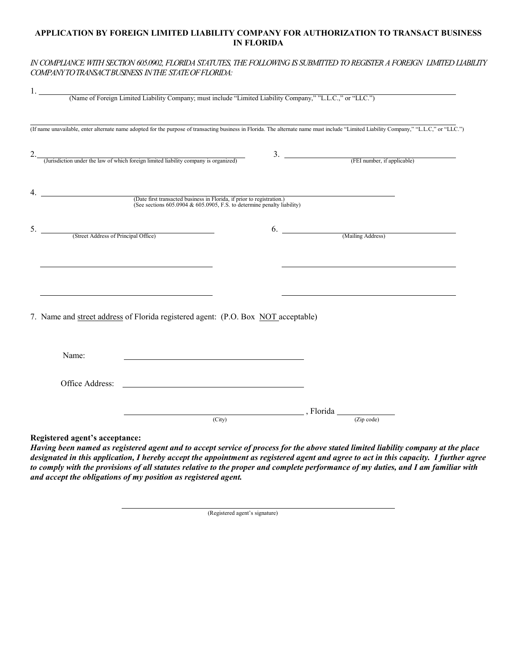# **APPLICATION BY FOREIGN LIMITED LIABILITY COMPANY FOR AUTHORIZATION TO TRANSACT BUSINESS IN FLORIDA**

## *IN COMPLIANCE WITH SECTION 605.0902, FLORIDA STATUTES, THE FOLLOWING IS SUBMITTED TO REGISTER A FOREIGN LIMITED LIABILITY COMPANY TO TRANSACT BUSINESS IN THE STATE OF FLORIDA:*

|                                                                                                                                                   | (If name unavailable, enter alternate name adopted for the purpose of transacting business in Florida. The alternate name must include "Limited Liability Company," "L.L.C," or "LLC.") |
|---------------------------------------------------------------------------------------------------------------------------------------------------|-----------------------------------------------------------------------------------------------------------------------------------------------------------------------------------------|
| (Jurisdiction under the law of which foreign limited liability company is organized)                                                              | $\frac{3.}{\sqrt{3.1}}$ (FEI number, if applicable)                                                                                                                                     |
|                                                                                                                                                   |                                                                                                                                                                                         |
| (Date first transacted business in Florida, if prior to registration.)<br>(See sections 605.0904 & 605.0905, F.S. to determine penalty liability) |                                                                                                                                                                                         |
| 5. (Street Address of Principal Office)                                                                                                           |                                                                                                                                                                                         |
|                                                                                                                                                   |                                                                                                                                                                                         |
|                                                                                                                                                   |                                                                                                                                                                                         |
|                                                                                                                                                   | <u> 1980 - Johann John Stone, mars et al. (</u>                                                                                                                                         |
| 7. Name and street address of Florida registered agent: (P.O. Box NOT acceptable)                                                                 |                                                                                                                                                                                         |
|                                                                                                                                                   |                                                                                                                                                                                         |
| Name:                                                                                                                                             |                                                                                                                                                                                         |
|                                                                                                                                                   |                                                                                                                                                                                         |
|                                                                                                                                                   | $\overline{\text{City}}$ , Florida $\overline{\text{City}}$                                                                                                                             |

*Having been named as registered agent and to accept service of process for the above stated limited liability company at the place designated in this application, I hereby accept the appointment as registered agent and agree to act in this capacity. I further agree to comply with the provisions of all statutes relative to the proper and complete performance of my duties, and I am familiar with and accept the obligations of my position as registered agent.*

(Registered agent's signature)